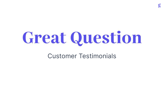## **Great Question**

g

## Customer Testimonials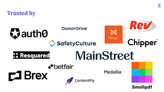

g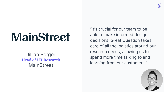## **MainStreet**

Jillian Berger Head of UX Research **MainStreet** 

"It's crucial for our team to be able to make informed design decisions. Great Question takes care of all the logistics around our research needs, allowing us to spend more time talking to and learning from our customers."

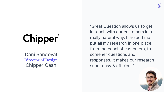## Chipper

Dani Sandoval Director of Design Chipper Cash

"Great Question allows us to get in touch with our customers in a really natural way. It helped me put all my research in one place, from the panel of customers, to screener questions and responses. It makes our research super easy & efficient."

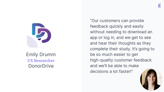

Emily Drumm UX Researcher **DonorDrive** 

"Our customers can provide feedback quickly and easily without needing to download an app or log in, and we get to see and hear their thoughts as they complete their study. It's going to be so much easier to get high-quality customer feedback and we'll be able to make decisions a lot faster!"